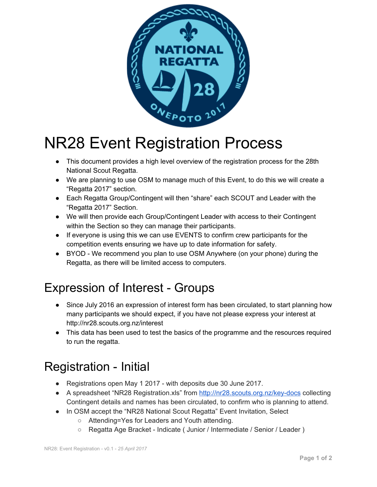

# NR28 Event Registration Process

- This document provides a high level overview of the registration process for the 28th National Scout Regatta.
- We are planning to use OSM to manage much of this Event, to do this we will create a "Regatta 2017" section.
- Each Regatta Group/Contingent will then "share" each SCOUT and Leader with the "Regatta 2017" Section.
- We will then provide each Group/Contingent Leader with access to their Contingent within the Section so they can manage their participants.
- If everyone is using this we can use EVENTS to confirm crew participants for the competition events ensuring we have up to date information for safety.
- BYOD We recommend you plan to use OSM Anywhere (on your phone) during the Regatta, as there will be limited access to computers.

## Expression of Interest - Groups

- Since July 2016 an expression of interest form has been circulated, to start planning how many participants we should expect, if you have not please express your interest at http://nr28.scouts.org.nz/interest
- This data has been used to test the basics of the programme and the resources required to run the regatta.

# Registration - Initial

- Registrations open May 1 2017 with deposits due 30 June 2017.
- A spreadsheet "NR28 Registration.xls" from <http://nr28.scouts.org.nz/key-docs> collecting Contingent details and names has been circulated, to confirm who is planning to attend.
- In OSM accept the "NR28 National Scout Regatta" Event Invitation, Select
	- Attending=Yes for Leaders and Youth attending.
	- Regatta Age Bracket Indicate ( Junior / Intermediate / Senior / Leader )